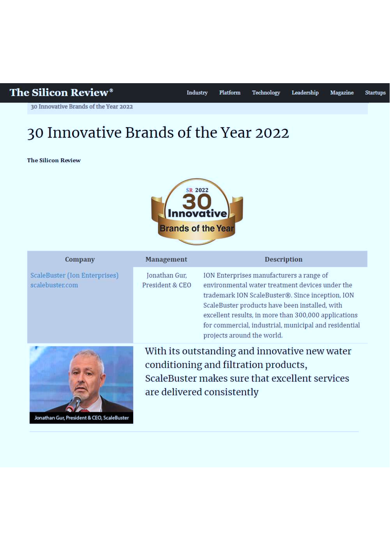# The Silicon Review®

30 Innovative Brands of the Year 2022

# 30 Innovative Brands of the Year 2022

**The Silicon Review** 



| Company                                          | Management                                                                                                                                                             | <b>Description</b>                                                                                                                                                                                                                                                                                                                               |
|--------------------------------------------------|------------------------------------------------------------------------------------------------------------------------------------------------------------------------|--------------------------------------------------------------------------------------------------------------------------------------------------------------------------------------------------------------------------------------------------------------------------------------------------------------------------------------------------|
| ScaleBuster (Ion Enterprises)<br>scalebuster.com | Jonathan Gur,<br>President & CEO                                                                                                                                       | ION Enterprises manufacturers a range of<br>environmental water treatment devices under the<br>trademark ION ScaleBuster®. Since inception, ION<br>ScaleBuster products have been installed, with<br>excellent results, in more than 300,000 applications<br>for commercial, industrial, municipal and residential<br>projects around the world. |
|                                                  | With its outstanding and innovative new water<br>conditioning and filtration products,<br>ScaleBuster makes sure that excellent services<br>are delivered consistently |                                                                                                                                                                                                                                                                                                                                                  |

Jonathan Gur, President & CEO, ScaleBuster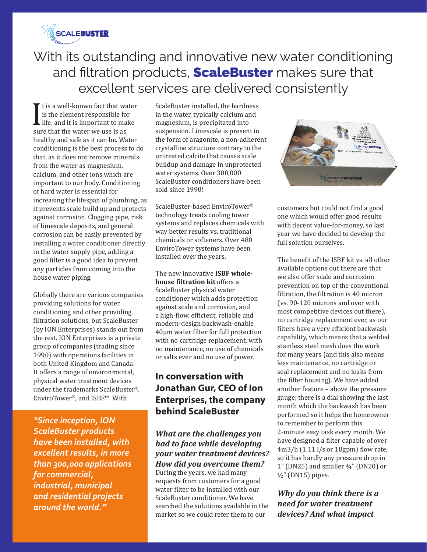

# With its outstanding and innovative new water conditioning and filtration products, **ScaleBuster** makes sure that excellent services are delivered consistently

It is a went known race that the<br>ife, and it is important to ma<br>sure that the water we use is as t is a well-known fact that water is the element responsible for  $\blacksquare$  life, and it is important to make healthy and safe as it can be. Water conditioning is the best process to do that, as it does not remove minerals from the water as magnesium, calcium, and other ions which are important to our body. Conditioning of hard water is essential for increasing the lifespan of plumbing, as it prevents scale build up and protects against corrosion. Clogging pipe, risk of limescale deposits, and general corrosion can be easily prevented by installing a water conditioner directly in the water supply pipe, adding a good filter is a good idea to prevent any particles from coming into the house water piping.

Globally there are various companies providing solutions for water conditioning and other providing filtration solutions, but ScaleBuster (by ION Enterprises) stands out from the rest. ION Enterprises is a private group of companies (trading since 1990) with operations facilities in both United Kingdom and Canada. It offers a range of environmental, physical water treatment devices under the trademarks ScaleBuster®, EnviroTower®, and ISBF™. With

*"Since inception, ION ScaleBuster products have been installed, with excellent results, in more than 300,000 applications for commercial, industrial, municipal and residential projects around the world."*

ScaleBuster installed, the hardness in the water, typically calcium and magnesium, is precipitated into suspension. Limescale is present in the form of aragonite, a non-adherent crystalline structure contrary to the untreated calcite that causes scale buildup and damage in unprotected water systems. Over 300,000 ScaleBuster conditioners have been sold since 1990!

ScaleBuster-based EnviroTower® technology treats cooling tower systems and replaces chemicals with way better results vs. traditional chemicals or softeners. Over 480 EnviroTower systems have been installed over the years.

The new innovative **ISBF wholehouse filtration kit** offers a ScaleBuster physical water conditioner which adds protection against scale and corrosion, and a high-flow, efficient, reliable and modern-design backwash-enable 40µm water filter for full protection with no cartridge replacement, with no maintenance, no use of chemicals or salts ever and no use of power.

## **In conversation with Jonathan Gur, CEO of Ion Enterprises, the company behind ScaleBuster**

## *What are the challenges you had to face while developing your water treatment devices? How did you overcome them?*

During the years, we had many requests from customers for a good water filter to be installed with our ScaleBuster conditioner. We have searched the solutions available in the market so we could refer them to our



customers but could not find a good one which would offer good results with decent value-for-money, so last year we have decided to develop the full solution ourselves.

The benefit of the ISBF kit vs. all other available options out there are that we also offer scale and corrosion prevention on top of the conventional filtration, the filtration is 40 micron (vs. 90-120 microns and over with most competitive devices out there), no cartridge replacement ever, as our filters have a very efficient backwash capability, which means that a welded stainless steel mesh does the work for many years (and this also means less maintenance, no cartridge or seal replacement and no leaks from the filter housing). We have added another feature – above the pressure gauge; there is a dial showing the last month which the backwash has been performed so it helps the homeowner to remember to perform this 2-minute easy task every month. We have designed a filter capable of over 4m3/h (1.11 l/s or 18gpm) flow rate, so it has hardly any pressure drop in  $1"$  (DN25) and smaller  $\frac{3}{4}"$  (DN20) or ½" (DN15) pipes.

*Why do you think there is a need for water treatment devices? And what impact*